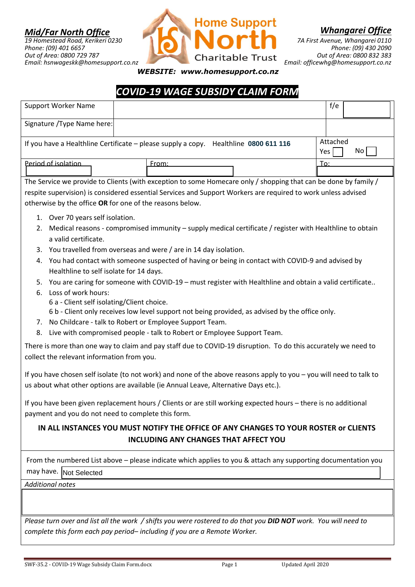## *Mid/Far North Office*

*19 Homestead Road, Kerikeri 0230 Phone: (09) 401 6657 Out of Area: 0800 729 787 Email: hsnwageskk@homesupport.co.nz*



*Whangarei Office*

*7A First Avenue, Whangarei 0110 Phone: (09) 430 2090 Out of Area: 0800 832 383 Email: officewhg@homesupport.co.nz*

*WEBSITE: www.homesupport.co.nz*

## *COVID-19 WAGE SUBSIDY CLAIM FORM*

| <b>Support Worker Name</b>                               |                                                                                                                     | f/e       |
|----------------------------------------------------------|---------------------------------------------------------------------------------------------------------------------|-----------|
| Signature / Type Name here:                              |                                                                                                                     |           |
|                                                          |                                                                                                                     | Attached  |
|                                                          | If you have a Healthline Certificate - please supply a copy. Healthline 0800 611 116                                | No<br>Yes |
| Period of isolation                                      | From:                                                                                                               | To:       |
|                                                          | The Service we provide to Clients (with exception to some Homecare only / shopping that can be done by family /     |           |
|                                                          | respite supervision) is considered essential Services and Support Workers are required to work unless advised       |           |
| otherwise by the office OR for one of the reasons below. |                                                                                                                     |           |
| 1. Over 70 years self isolation.                         |                                                                                                                     |           |
| 2.                                                       | Medical reasons - compromised immunity - supply medical certificate / register with Healthline to obtain            |           |
| a valid certificate.                                     |                                                                                                                     |           |
|                                                          | 3. You travelled from overseas and were / are in 14 day isolation.                                                  |           |
| 4.                                                       | You had contact with someone suspected of having or being in contact with COVID-9 and advised by                    |           |
| Healthline to self isolate for 14 days.                  |                                                                                                                     |           |
| 5.<br>Loss of work hours:<br>6.                          | You are caring for someone with COVID-19 - must register with Healthline and obtain a valid certificate             |           |
| 6 a - Client self isolating/Client choice.               |                                                                                                                     |           |
|                                                          | 6 b - Client only receives low level support not being provided, as advised by the office only.                     |           |
|                                                          | 7. No Childcare - talk to Robert or Employee Support Team.                                                          |           |
| 8.                                                       | Live with compromised people - talk to Robert or Employee Support Team.                                             |           |
|                                                          | There is more than one way to claim and pay staff due to COVID-19 disruption. To do this accurately we need to      |           |
| collect the relevant information from you.               |                                                                                                                     |           |
|                                                          | If you have chosen self isolate (to not work) and none of the above reasons apply to you - you will need to talk to |           |
|                                                          | us about what other options are available (ie Annual Leave, Alternative Days etc.).                                 |           |
|                                                          | If you have been given replacement hours / Clients or are still working expected hours - there is no additional     |           |
| payment and you do not need to complete this form.       |                                                                                                                     |           |
|                                                          | IN ALL INSTANCES YOU MUST NOTIFY THE OFFICE OF ANY CHANGES TO YOUR ROSTER or CLIENTS                                |           |
|                                                          | <b>INCLUDING ANY CHANGES THAT AFFECT YOU</b>                                                                        |           |
|                                                          | From the numbered List above - please indicate which applies to you & attach any supporting documentation you       |           |
| may have. Not Selected                                   |                                                                                                                     |           |
| <b>Additional notes</b>                                  |                                                                                                                     |           |
|                                                          |                                                                                                                     |           |
|                                                          |                                                                                                                     |           |
|                                                          | Please turn over and list all the work / shifts you were rostered to do that you DID NOT work. You will need to     |           |
|                                                          | complete this form each pay period-including if you are a Remote Worker.                                            |           |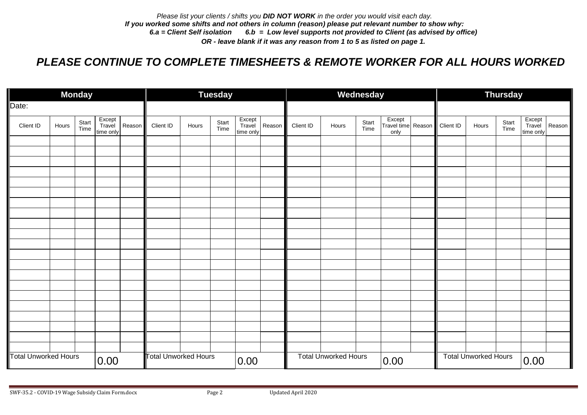## *PLEASE CONTINUE TO COMPLETE TIMESHEETS & REMOTE WORKER FOR ALL HOURS WORKED*

| <b>Monday</b>               |       |               |                               |                             |           | <b>Tuesday</b> |               |                               |                             |           |       | Wednesday     |                                      | Thursday  |       |               |                               |        |  |  |
|-----------------------------|-------|---------------|-------------------------------|-----------------------------|-----------|----------------|---------------|-------------------------------|-----------------------------|-----------|-------|---------------|--------------------------------------|-----------|-------|---------------|-------------------------------|--------|--|--|
| Date:                       |       |               |                               |                             |           |                |               |                               |                             |           |       |               |                                      |           |       |               |                               |        |  |  |
| Client ID                   | Hours | Start<br>Time | Except<br>Travel<br>time only | Reason                      | Client ID | Hours          | Start<br>Time | Except<br>Travel<br>time only | Reason                      | Client ID | Hours | Start<br>Time | Except<br>Travel time Reason<br>only | Client ID | Hours | Start<br>Time | Except<br>Travel<br>time only | Reason |  |  |
|                             |       |               |                               |                             |           |                |               |                               |                             |           |       |               |                                      |           |       |               |                               |        |  |  |
|                             |       |               |                               |                             |           |                |               |                               |                             |           |       |               |                                      |           |       |               |                               |        |  |  |
|                             |       |               |                               |                             |           |                |               |                               |                             |           |       |               |                                      |           |       |               |                               |        |  |  |
|                             |       |               |                               |                             |           |                |               |                               |                             |           |       |               |                                      |           |       |               |                               |        |  |  |
|                             |       |               |                               |                             |           |                |               |                               |                             |           |       |               |                                      |           |       |               |                               |        |  |  |
|                             |       |               |                               |                             |           |                |               |                               |                             |           |       |               |                                      |           |       |               |                               |        |  |  |
|                             |       |               |                               |                             |           |                |               |                               |                             |           |       |               |                                      |           |       |               |                               |        |  |  |
|                             |       |               |                               |                             |           |                |               |                               |                             |           |       |               |                                      |           |       |               |                               |        |  |  |
|                             |       |               |                               |                             |           |                |               |                               |                             |           |       |               |                                      |           |       |               |                               |        |  |  |
|                             |       |               |                               |                             |           |                |               |                               |                             |           |       |               |                                      |           |       |               |                               |        |  |  |
|                             |       |               |                               |                             |           |                |               |                               |                             |           |       |               |                                      |           |       |               |                               |        |  |  |
|                             |       |               |                               |                             |           |                |               |                               |                             |           |       |               |                                      |           |       |               |                               |        |  |  |
|                             |       |               |                               |                             |           |                |               |                               |                             |           |       |               |                                      |           |       |               |                               |        |  |  |
|                             |       |               |                               |                             |           |                |               |                               |                             |           |       |               |                                      |           |       |               |                               |        |  |  |
|                             |       |               |                               |                             |           |                |               |                               |                             |           |       |               |                                      |           |       |               |                               |        |  |  |
|                             |       |               |                               |                             |           |                |               |                               |                             |           |       |               |                                      |           |       |               |                               |        |  |  |
|                             |       |               |                               |                             |           |                |               |                               |                             |           |       |               |                                      |           |       |               |                               |        |  |  |
|                             |       |               |                               |                             |           |                |               |                               |                             |           |       |               |                                      |           |       |               |                               |        |  |  |
| <b>Total Unworked Hours</b> |       | 0.00          |                               | <b>Total Unworked Hours</b> |           | 0.00           |               |                               | <b>Total Unworked Hours</b> |           | 0.00  |               | <b>Total Unworked Hours</b>          |           |       | 0.00          |                               |        |  |  |